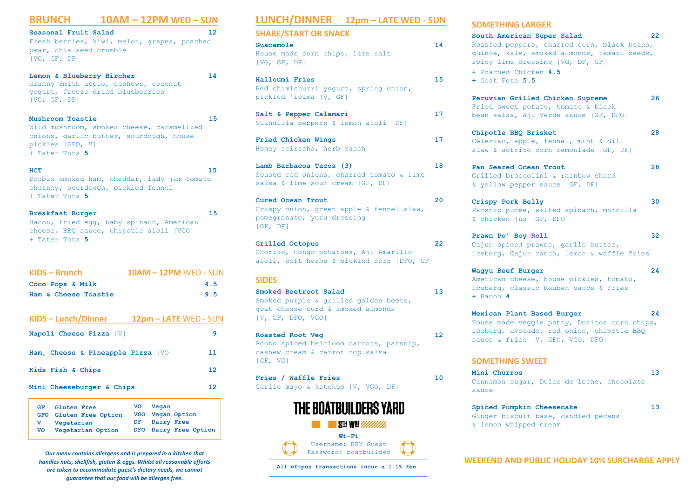#### **BRUNCH 10AM – 12PM WED – SUN**

**Seasonal Fruit Salad 12** Fresh berries, kiwi, melon, grapes, poached pear, chia seed crumble |VG, GF, DF|

**Lemon & Blueberry Bircher 14** Granny Smith apple, cashews, coconut yogurt, freeze dried blueberries |VG, GF, DF|

**Mushroom Toastie 15** Wild mushroom, smoked cheese, caramelized onions, garlic butter, sourdough, house pickles |GFO, V| + Tater Tots **5**

**HCT 15** Double smoked ham, cheddar, lady jam tomato chutney, sourdough, pickled fennel + Tater Tots **5**

**Breakfast Burger 15** Bacon, fried egg, baby spinach, American cheese, BBQ sauce, chipotle aioli |VGO| + Tater Tots **5**

| $KIDS - Brunch$                           | <b>10AM - 12PM WED - SUN</b> |                 |
|-------------------------------------------|------------------------------|-----------------|
| Coco Pops & Milk                          |                              | 4.5             |
| Ham & Cheese Toastie                      |                              | 9.5             |
|                                           |                              |                 |
| KIDS - Lunch/Dinner 12pm - LATE WED - SUN |                              |                 |
| Napoli Cheese Pizza   V                   |                              | 9               |
| Ham, Cheese & Pineapple Pizza   VO        |                              | 11              |
| Kids Fish & Chips                         |                              | 12 <sup>2</sup> |
| Mini Cheeseburger & Chips                 |                              | 12              |

| GF. | Gluten Free            |    | VG Vegan   |                       |
|-----|------------------------|----|------------|-----------------------|
|     | GFO Gluten Free Option |    |            | VGO Vegan Option      |
| v.  | Vegetarian             | DF | Dairy Free |                       |
| VO  | Vegetarian Option      |    |            | DFO Dairy Free Option |

*Our menu contains allergens and is prepared in a kitchen that handles nuts, shellfish, gluten & eggs. Whilst all reasonable efforts are taken to accommodate guest's dietary needs, we cannot guarantee that our food will be allergen free.*

### **LUNCH/DINNER 12pm – LATE WED - SUN**

**SHARE/START OR SNACK**

**Guacamole 14**  House made corn chips, lime salt |VG, GF, DF|

**Halloumi Fries 15** Red chimichurri yogurt, spring onion, pickled jicama |V, GF|

**Salt & Pepper Calamari 17** Guindilla peppers & lemon aioli |DF|

**Fried Chicken Wings 17** Honey sriracha, herb ranch

**Lamb Barbacoa Tacos (3) 18** Soused red onions, charred tomato & lime salsa & lime sour cream |GF, DF|

**Cured Ocean Trout 20** Crispy onion, green apple & fennel slaw, pomegranate, yuzu dressing |GF, DF|

**Grilled Octopus 22** Chorizo, Congo potatoes, Aji Amarillo aioli, soft herbs & pickled corn |DFO, GF|

#### **SIDES**

**Smoked Beetroot Salad 13** Smoked purple & grilled golden beets, goat cheese curd & smoked almonds |V, GF, DFO, VGO|

**Roasted Root Veg 12**  Adobo spiced heirloom carrots, parsnip, cashew cream & carrot top salsa |GF, VG|

**Fries / Waffle Fries 10** Garlic mayo & ketchup |V, VGO, DF|



**All eftpos transactions incur a 1.1% fee**

#### **SOMETHING LARGER**

**South American Super Salad 22** Roasted peppers, charred corn, black beans, quinoa, kale, smoked almonds, tamari seeds, spicy lime dressing |VG, DF, GF| **+** Poached Chicken **4.5 +** Goat Feta **5.5 Peruvian Grilled Chicken Supreme 26** Fried sweet potato, tomato & black bean salsa, Aji Verde sauce |GF, DFO| **Chipotle BBQ Brisket 28** Celeriac, apple, fennel, mint & dill slaw & sofrito corn remoulade |GF, DF| **Pan Seared Ocean Trout 28** Grilled broccolini & rainbow chard & yellow pepper sauce |GF, DF| **Crispy Pork Belly 30** Parsnip puree, wilted spinach, morcilla & chicken jus |GF, DFO| **Prawn Po' Boy Roll 32** Cajun spiced prawns, garlic butter, iceberg, Cajun ranch, lemon & waffle fries **Wagyu Beef Burger 24** American cheese, house pickles, tomato, iceberg, classic Reuben sauce & fries **+** Bacon **4 Mexican Plant Based Burger 24** House made veggie patty, Doritos corn chips, iceberg, avocado, red onion, chipotle BBQ sauce & fries | V, GFO, VGO, DFO| **SOMETHING SWEET Mini Churros 13** Cinnamon sugar, Dulce de leche, chocolate sauce

**Spiced Pumpkin Cheesecake 13** Ginger biscuit base, candied pecans & lemon whipped cream

**WEEKEND AND PUBLIC HOLIDAY 10% SURCHARGE APPLY**